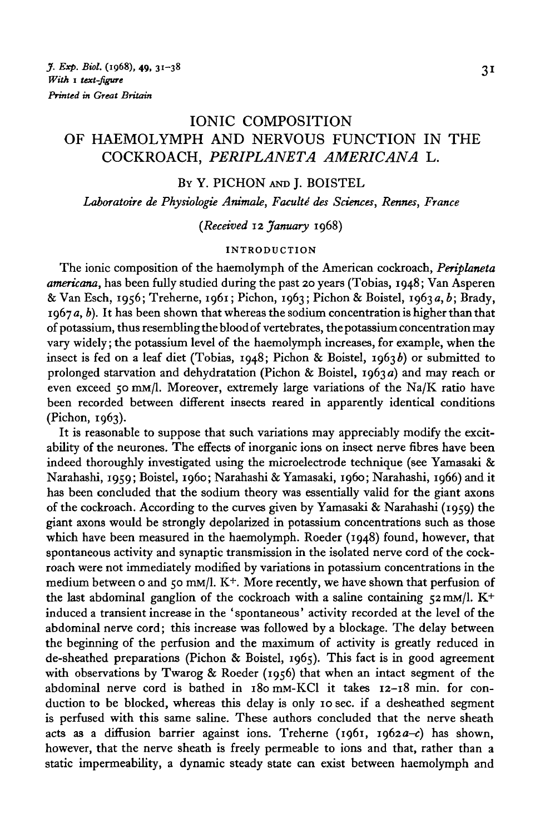# IONIC COMPOSITION OF HAEMOLYMPH AND NERVOUS FUNCTION IN THE COCKROACH, *PERIPLANETA AMERICANA* L.

### BY Y. PICHON AND J. BOISTEL

Laboratoire de Physiologie Animale, Faculté des Sciences, Rennes, France

*(Received* 12 *January* 1968)

#### **INTRODUCTION**

The ionic composition of the haemolymph of the American cockroach, *Periplaneta americana,* has been fully studied during the past 20 years (Tobias, 1948; Van Asperen & Van Esch, 1956; Treherne, 1961; Pichon, 1963; Pichon & Boistel, 1963a, b; Brady, 1967 *a, b).* It has been shown that whereas the sodium concentration is higher than that of potassium, thus resembling the blood of vertebrates, the potassium concentration may vary widely; the potassium level of the haemolymph increases, for example, when the insect is fed on a leaf diet (Tobias, 1948; Pichon & Boistel, 1963b) or submitted to prolonged starvation and dehydratation (Pichon & Boistel, 1963 a) and may reach or even exceed 50 mM/1. Moreover, extremely large variations of the Na/K ratio have been recorded between different insects reared in apparently identical conditions (Pichon, 1963).

It is reasonable to suppose that such variations may appreciably modify the excitability of the neurones. The effects of inorganic ions on insect nerve fibres have been indeed thoroughly investigated using the microelectrode technique (see Yamasaki & Narahashi, 1959; Boistel, i960; Narahashi & Yamasaki, i960; Narahashi, 1966) and it has been concluded that the sodium theory was essentially valid for the giant axons of the cockroach. According to the curves given by Yamasaki & Narahashi (1959) the giant axons would be strongly depolarized in potassium concentrations such as those which have been measured in the haemolymph. Roeder (1948) found, however, that spontaneous activity and synaptic transmission in the isolated nerve cord of the cockroach were not immediately modified by variations in potassium concentrations in the medium between 0 and 50 mm/l. K<sup>+</sup>. More recently, we have shown that perfusion of the last abdominal ganglion of the cockroach with a saline containing  $52 \text{ mm/l}$ . K<sup>+</sup> induced a transient increase in the ' spontaneous' activity recorded at the level of the abdominal nerve cord; this increase was followed by a blockage. The delay between the beginning of the perfusion and the maximum of activity is greatly reduced in de-sheathed preparations (Pichon & Boistel, 1965). This fact is in good agreement with observations by Twarog & Roeder (1956) that when an intact segment of the abdominal nerve cord is bathed in i8omM-KCl it takes 12-18 min. for conduction to be blocked, whereas this delay is only 10 sec. if a desheathed segment is perfused with this same saline. These authors concluded that the nerve sheath acts as a diffusion barrier against ions. Treherne (1961, 1962 $a-c$ ) has shown, however, that the nerve sheath is freely permeable to ions and that, rather than a static impermeability, a dynamic steady state can exist between haemolymph and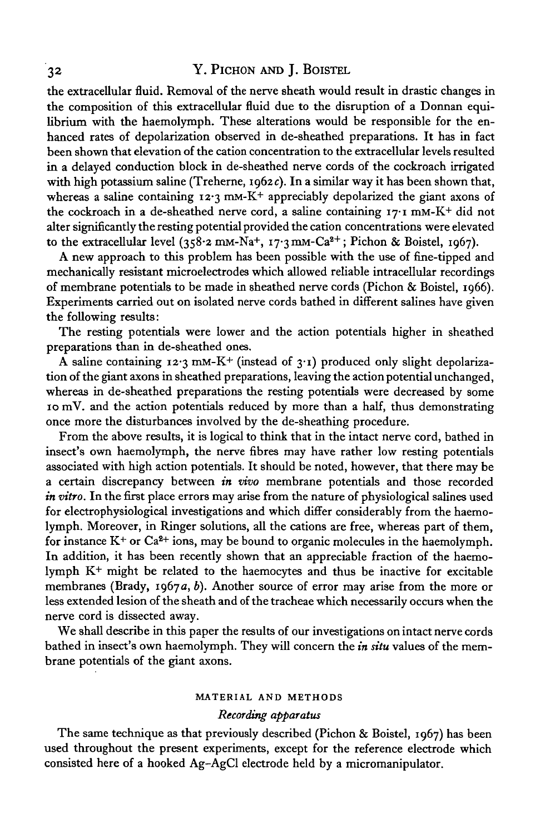## 32 Y. PlCHON AND J. BoiSTEL

the extracellular fluid. Removal of the nerve sheath would result in drastic changes in the composition of this extracellular fluid due to the disruption of a Donnan equilibrium with the haemolymph. These alterations would be responsible for the enhanced rates of depolarization observed in de-sheathed preparations. It has in fact been shown that elevation of the cation concentration to the extracellular levels resulted in a delayed conduction block in de-sheathed nerve cords of the cockroach irrigated with high potassium saline (Treherne, 1962c). In a similar way it has been shown that, whereas a saline containing  $12.3$  mm-K<sup>+</sup> appreciably depolarized the giant axons of the cockroach in a de-sheathed nerve cord, a saline containing  $17 \cdot 1$  mM-K<sup>+</sup> did not alter significantly the resting potential provided the cation concentrations were elevated to the extracellular level (358.2 mm-Na<sup>+</sup>, 17.3 mm-Ca<sup>2+</sup>; Pichon & Boistel, 1967).

A new approach to this problem has been possible with the use of fine-tipped and mechanically resistant microelectrodes which allowed reliable intracellular recordings of membrane potentials to be made in sheathed nerve cords (Pichon & Boistel, 1966). Experiments carried out on isolated nerve cords bathed in different salines have given the following results:

The resting potentials were lower and the action potentials higher in sheathed preparations than in de-sheathed ones.

A saline containing  $12.3 \text{ mM-K}^+$  (instead of  $3.1$ ) produced only slight depolarization of the giant axons in sheathed preparations, leaving the action potential unchanged, whereas in de-sheathed preparations the resting potentials were decreased by some 10 mV. and the action potentials reduced by more than a half, thus demonstrating once more the disturbances involved by the de-sheathing procedure.

From the above results, it is logical to think that in the intact nerve cord, bathed in insect's own haemolymph, the nerve fibres may have rather low resting potentials associated with high action potentials. It should be noted, however, that there may be a certain discrepancy between *in vivo* membrane potentials and those recorded *in vitro.* In the first place errors may arise from the nature of physiological salines used for electrophysiological investigations and which differ considerably from the haemolymph. Moreover, in Ringer solutions, all the cations are free, whereas part of them, for instance  $K^+$  or  $Ca^{2+}$  ions, may be bound to organic molecules in the haemolymph. In addition, it has been recently shown that an appreciable fraction of the haemolymph K+ might be related to the haemocytes and thus be inactive for excitable membranes (Brady, 1967*a*, *b*). Another source of error may arise from the more or less extended lesion of the sheath and of the tracheae which necessarily occurs when the nerve cord is dissected away.

We shall describe in this paper the results of our investigations on intact nerve cords bathed in insect's own haemolymph. They will concern the *in situ* values of the membrane potentials of the giant axons.

## **MATERIAL AND METHODS**

### *Recording apparatus*

The same technique as that previously described (Pichon & Boistel, 1967) has been used throughout the present experiments, except for the reference electrode which consisted here of a hooked Ag-AgCl electrode held by a micromanipulator.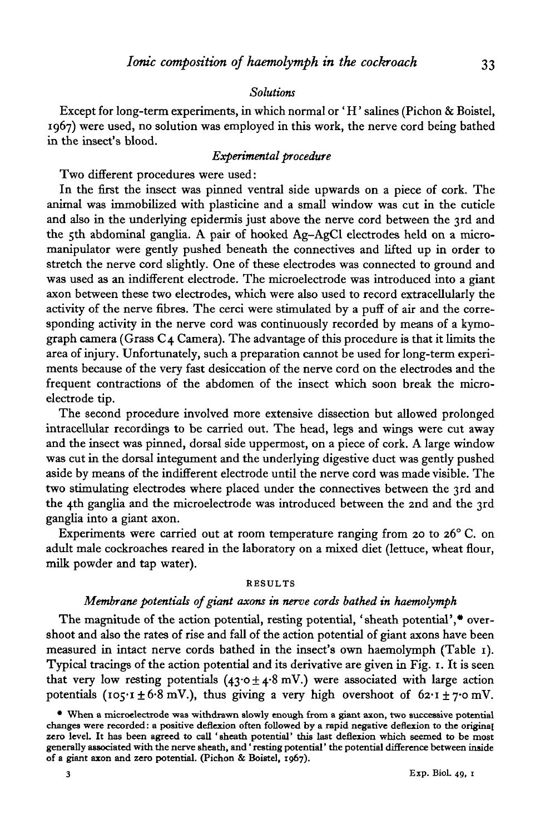## *Solutions*

Except for long-term experiments, in which normal or ' H' salines (Pichon & Boistel, 1967) were used, no solution was employed in this work, the nerve cord being bathed in the insect's blood.

## *Experimental procedure*

Two different procedures were used:

In the first the insect was pinned ventral side upwards on a piece of cork. The animal was immobilized with plasticine and a small window was cut in the cuticle and also in the underlying epidermis just above the nerve cord between the 3rd and the 5th abdominal ganglia. A pair of hooked Ag-AgCl electrodes held on a micromanipulator were gently pushed beneath the connectives and lifted up in order to stretch the nerve cord slightly. One of these electrodes was connected to ground and was used as an indifferent electrode. The microelectrode was introduced into a giant axon between these two electrodes, which were also used to record extracellularly the activity of the nerve fibres. The cerci were stimulated by a puff of air and the corresponding activity in the nerve cord was continuously recorded by means of a kymograph camera (Grass C4 Camera). The advantage of this procedure is that it limits the area of injury. Unfortunately, such a preparation cannot be used for long-term experiments because of the very fast desiccation of the nerve cord on the electrodes and the frequent contractions of the abdomen of the insect which soon break the microelectrode tip.

The second procedure involved more extensive dissection but allowed prolonged intracellular recordings to be carried out. The head, legs and wings were cut away and the insect was pinned, dorsal side uppermost, on a piece of cork. A large window was cut in the dorsal integument and the underlying digestive duct was gently pushed aside by means of the indifferent electrode until the nerve cord was made visible. The two stimulating electrodes where placed under the connectives between the 3rd and the 4th ganglia and the microelectrode was introduced between the 2nd and the 3rd ganglia into a giant axon.

Experiments were carried out at room temperature ranging from 20 to 26 $^{\circ}$  C. on adult male cockroaches reared in the laboratory on a mixed diet (lettuce, wheat flour, milk powder and tap water).

#### **RESULTS**

## *Membrane potentials of giant axons in nerve cords bathed in haemolymph*

The magnitude of the action potential, resting potential, 'sheath potential',  $\bullet$  overshoot and also the rates of rise and fall of the action potential of giant axons have been measured in intact nerve cords bathed in the insect's own haemolymph (Table 1). Typical tracings of the action potential and its derivative are given in Fig. 1. It is seen that very low resting potentials  $(43.0 \pm 4.8 \text{ mV})$  were associated with large action potentials ( $105 \cdot 1 \pm 6 \cdot 8$  mV.), thus giving a very high overshoot of  $62 \cdot 1 \pm 7 \cdot 0$  mV.

**<sup>•</sup> When a microelectrode was withdrawn slowly enough from a giant axon, two successive potential changes were recorded: a positive deflexion often followed by a rapid negative deflexion to the original zero level. It has been agreed to call 'sheath potential' this last deflexion which seemed to be most generally associated with the nerve sheath, and' resting potential' the potential difference between inside of a giant axon and zero potential. (Pichon & Boistel, 1967).**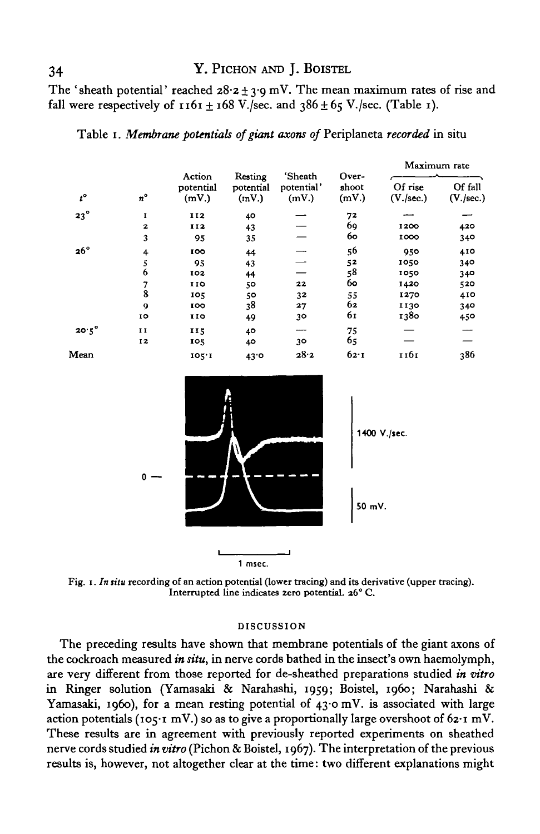## 34 Y. PICHON AND J. BOISTEL

The 'sheath potential' reached  $28.2 \pm 3.9$  mV. The mean maximum rates of rise and fall were respectively of  $1161 \pm 168$  V./sec. and  $386 \pm 65$  V./sec. (Table 1).

| $t^\circ$    | $n^{\circ}$    | Action<br>potential<br>(mV.) | Resting<br>potential<br>(mV.) | 'Sheath<br>potential'<br>(mV.) | Over-<br>shoot<br>(mV) | Maximum rate         |                      |
|--------------|----------------|------------------------------|-------------------------------|--------------------------------|------------------------|----------------------|----------------------|
|              |                |                              |                               |                                |                        | Of rise<br>(V./sec.) | Of fall<br>(V./sec.) |
| $23^\circ$   | I              | 112                          | 40                            |                                | 72                     |                      |                      |
|              | $\mathbf{z}$   | 112                          | 43                            |                                | 69                     | 1200                 | 420                  |
|              | 3              | 95                           | 35                            |                                | 60                     | 1000                 | 340                  |
| $26^\circ$   | $\overline{4}$ | 100                          | 44                            |                                | 56                     | 950                  | 410                  |
|              | 5              | 95                           | 43                            |                                | 52                     | 1050                 | 340                  |
|              | 6              | 102                          | 44                            |                                | 58                     | 1050                 | 340                  |
|              |                | 110                          | 50                            | 22                             | 60                     | 1420                 | 520                  |
|              | 8              | 105                          | 50                            | 32                             | 55                     | 1270                 | 410                  |
|              | 9              | 100                          | 38                            | 27                             | 62                     | 1130                 | 340                  |
|              | 10             | 110                          | 49                            | 30                             | 61                     | 1380                 | 450                  |
| $20.5^\circ$ | 11             | 115                          | 40                            | ---                            | 75                     |                      |                      |
|              | 12             | 105                          | 40                            | 30                             | 65                     |                      |                      |
| Mean         |                | 105.1                        | 43°                           | 28.2                           | 62.1                   | 1161                 | 386                  |





Fig. 1. *In situ* recording of an action potential (lower tracing) and its derivative (upper tracing). Interrupted line indicates zero potential. 26° C.

#### DISCUSSION

The preceding results have shown that membrane potentials of the giant axons of the cockroach measured *in situ,* in nerve cords bathed in the insect's own haemolymph, are very different from those reported for de-sheathed preparations studied *in vitro* in Ringer solution (Yamasaki & Narahashi, 1959; Boistel, i960; Narahashi & Yamasaki, 1960), for a mean resting potential of 43.0 mV. is associated with large action potentials (105-1 mV.) so as to give a proportionally large overshoot of  $62\cdot1$  mV. These results are in agreement with previously reported experiments on sheathed nerve cords studied *in vitro* (Pichon & Boistel, 1967). The interpretation of the previous results is, however, not altogether clear at the time: two different explanations might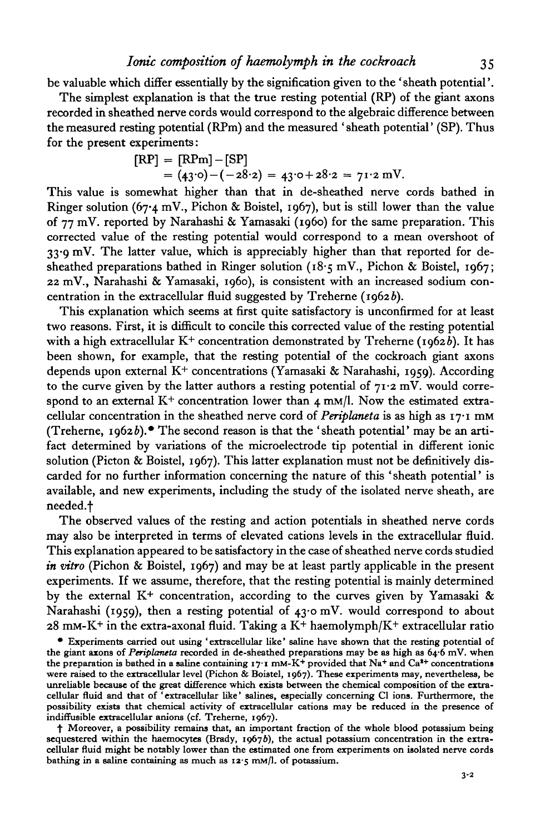The simplest explanation is that the true resting potential (RP) of the giant axons recorded in sheathed nerve cords would correspond to the algebraic difference between the measured resting potential (RPm) and the measured ' sheath potential' (SP). Thus for the present experiments:

$$
[RP] = [RPm] - [SP]
$$
  
= (43<sup>°</sup>0) - (-28<sup>°</sup>2) = 43<sup>°</sup>0 + 28<sup>°</sup>2 = 71<sup>°</sup>2 mV.

This value is somewhat higher than that in de-sheathed nerve cords bathed in Ringer solution (67.4 mV., Pichon & Boistel, 1967), but is still lower than the value of 77 mV. reported by Narahashi & Yamasaki (i960) for the same preparation. This corrected value of the resting potential would correspond to a mean overshoot of 33-9 mV. The latter value, which is appreciably higher than that reported for desheathed preparations bathed in Ringer solution ( $18.5$  mV., Pichon & Boistel, 1967; 22 mV., Narahashi & Yamasaki, i960), is consistent with an increased sodium concentration in the extracellular fluid suggested by Treherne ( $1962b$ ).

This explanation which seems at first quite satisfactory is unconfirmed for at least two reasons. First, it is difficult to concile this corrected value of the resting potential with a high extracellular  $K^+$  concentration demonstrated by Treherne (1962b). It has been shown, for example, that the resting potential of the cockroach giant axons depends upon external  $K^+$  concentrations (Yamasaki & Narahashi, 1959). According to the curve given by the latter authors a resting potential of  $71.2$  mV. would correspond to an external  $K^+$  concentration lower than 4 mm/l. Now the estimated extracellular concentration in the sheathed nerve cord of *Periplaneta* is as high as 17-1 mM (Treherne, 1962b).\* The second reason is that the 'sheath potential' may be an artifact determined by variations of the microelectrode tip potential in different ionic solution (Picton & Boistel, 1967). This latter explanation must not be definitively discarded for no further information concerning the nature of this ' sheath potential' is available, and new experiments, including the study of the isolated nerve sheath, are needed.f

The observed values of the resting and action potentials in sheathed nerve cords may also be interpreted in terms of elevated cations levels in the extracellular fluid. This explanation appeared to be satisfactory in the case of sheathed nerve cords studied *in vitro* (Pichon & Boistel, 1967) and may be at least partly applicable in the present experiments. If we assume, therefore, that the resting potential is mainly determined by the external  $K^+$  concentration, according to the curves given by Yamasaki & Narahashi (1959), then a resting potential of 43.0 mV. would correspond to about  $28 \text{ mm}$ -K+ in the extra-axonal fluid. Taking a K+ haemolymph/K+ extracellular ratio

• Experiments carried out using 'extracellular like' saline have shown that the resting potential of the giant axons of *Periplaneta* recorded in de-sheathed preparations may be as high as 64.6 mV. when the giant axons of *Periplaneta* recorded in de-sheathed preparations may be as high as 64.6 mV. when<br>the preparation is bathed in a saline containing 17.1 mM-K<sup>+</sup> provided that Na<sup>+</sup> and Ca<sup>3+</sup> concentrations were raised to the extracellular level (Pichon & Boistel, 1967). These experiments may, nevertheless, be unreliable because of the great difference which exists between the chemical composition of the extra-<br>cellular fluid indiffusible extracellular anions (cf. Treherne, 1967).

 $\dagger$  Moreover, a possibility remains that, an important fraction of the whole blood potassium being sequestered within the haemocytes (Brady, 1967b), the actual potassium concentration in the extracellular fluid might be notably lower than the estimated one from experiments on isolated nerve cords bathing in a saline containing as much as  $12.5$  mM/l. of potassium.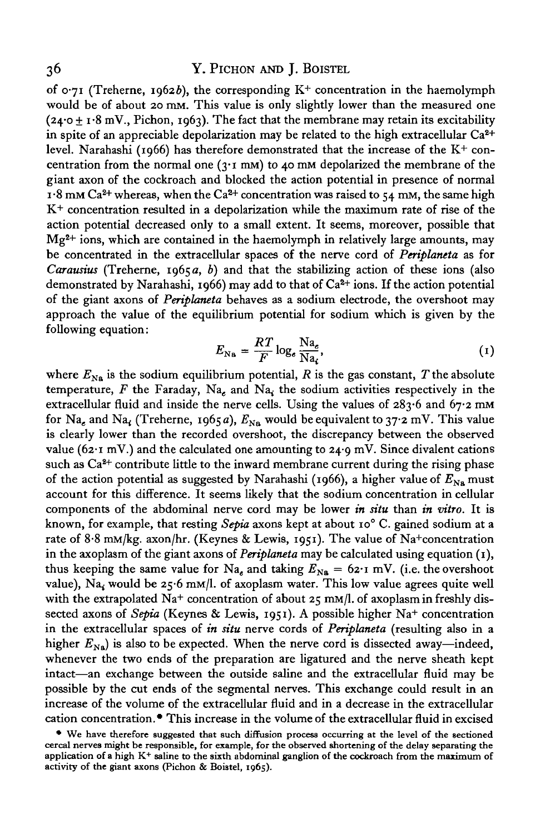of 0.71 (Treherne, 1962b), the corresponding  $K^+$  concentration in the haemolymph would be of about 20 mM. This value is only slightly lower than the measured one  $(24.0 \pm 1.8 \text{ mV}$ , Pichon, 1963). The fact that the membrane may retain its excitability in spite of an appreciable depolarization may be related to the high extracellular  $\text{Ca}^{\textbf{2+}}$ level. Narahashi (1966) has therefore demonstrated that the increase of the  $K^+$  concentration from the normal one  $(3.1 \text{ mm})$  to 40 mM depolarized the membrane of the giant axon of the cockroach and blocked the action potential in presence of normal  $1.8$  mm Ca<sup>2+</sup> whereas, when the Ca<sup>2+</sup> concentration was raised to 54 mm, the same high  $K<sup>+</sup>$  concentration resulted in a depolarization while the maximum rate of rise of the action potential decreased only to a small extent. It seems, moreover, possible that Mg2+ ions, which are contained in the haemolymph in relatively large amounts, may be concentrated in the extracellular spaces of the nerve cord of *Periplaneta* as for *Carausius* (Treherne,  $1965a$ , b) and that the stabilizing action of these ions (also demonstrated by Narahashi, 1966) may add to that of Ca<sup>2+</sup> ions. If the action potential of the giant axons of *Periplaneta* behaves as a sodium electrode, the overshoot may approach the value of the equilibrium potential for sodium which is given by the following equation:

$$
E_{\text{Na}} = \frac{RT}{F} \log_e \frac{\text{Na}_e}{\text{Na}_i},\tag{1}
$$

where  $E_{\rm{Na}}$  is the sodium equilibrium potential,  $R$  is the gas constant,  $T$  the absolute temperature,  $F$  the Faraday, Na<sub>z</sub> and Na<sub>i</sub> the sodium activities respectively in the extracellular fluid and inside the nerve cells. Using the values of  $283.6$  and  $67.2$  mm for Na<sub>e</sub> and Na<sub>t</sub> (Treherne, 1965a),  $E_{\text{Na}}$  would be equivalent to 37.2 mV. This value is clearly lower than the recorded overshoot, the discrepancy between the observed value (62 $\cdot$ 1 mV.) and the calculated one amounting to 24 $\cdot$ 9 mV. Since divalent cations such as  $Ca<sup>2+</sup>$  contribute little to the inward membrane current during the rising phase of the action potential as suggested by Narahashi (1966), a higher value of  $E_{N_B}$  must account for this difference. It seems likely that the sodium concentration in cellular components of the abdominal nerve cord may be lower *in situ* than *in vitro.* It is known, for example, that resting *Sepia* axons kept at about io° C. gained sodium at a rate of 8-8 mM/kg. axon/hr. (Keynes & Lewis, 1951). The value of Na+concentration in the axoplasm of the giant axons of *Periplaneta* may be calculated using equation (1), thus keeping the same value for Na, and taking  $E_{N_{\rm A}} = 62 \cdot I$  mV. (i.e. the overshoot value), Na<sub>i</sub> would be 25.6 mm/l. of axoplasm water. This low value agrees quite well with the extrapolated Na<sup>+</sup> concentration of about  $25 \text{ mm/l}$ . of axoplasm in freshly dissected axons of *Sepia* (Keynes & Lewis, 1951). A possible higher Na+ concentration in the extracellular spaces of *in situ* nerve cords of *Periplaneta* (resulting also in a higher  $E_{\text{Na}}$ ) is also to be expected. When the nerve cord is dissected away—indeed, whenever the two ends of the preparation are ligatured and the nerve sheath kept intact—an exchange between the outside saline and the extracellular fluid may be possible by the cut ends of the segmental nerves. This exchange could result in an increase of the volume of the extracellular fluid and in a decrease in the extracellular cation concentration.\* This increase in the volume of the extracellular fluid in excised

<sup>•</sup> We have therefore suggested that such diffusion process occurring at the level of the sectioned cercal nerves might be responsible, for example, for the observed shortening of the delay separating the application of a high  $K^+$  saline to the sixth abdominal ganglion of the cockroach from the maximum of activity of the giant axons (Pichon & Boistel, 1965).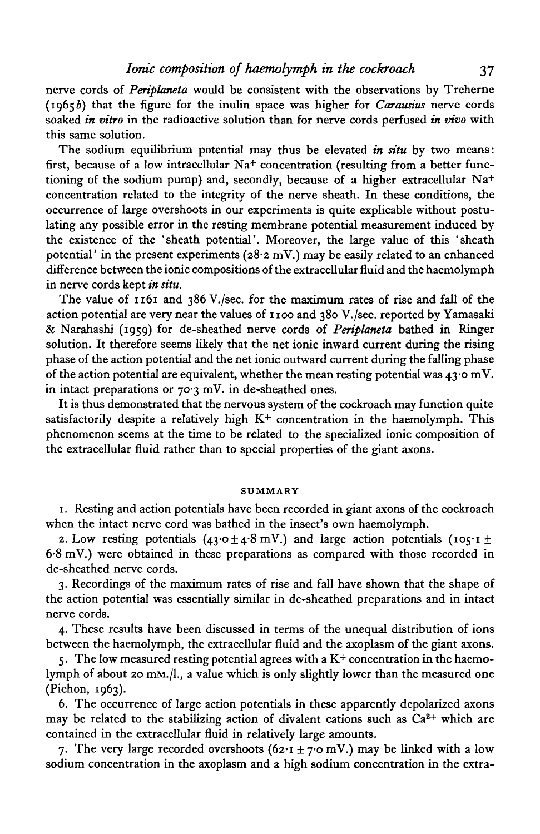nerve cords of *Periplaneta* would be consistent with the observations by Treherne (19656) that the figure for the inulin space was higher for *Carausius* nerve cords soaked *in vitro* in the radioactive solution than for nerve cords perfused *in vivo* with this same solution.

The sodium equilibrium potential may thus be elevated *in situ* by two means: first, because of a low intracellular Na<sup>+</sup> concentration (resulting from a better functioning of the sodium pump) and, secondly, because of a higher extracellular Na<sup>+</sup> concentration related to the integrity of the nerve sheath. In these conditions, the occurrence of large overshoots in our experiments is quite explicable without postulating any possible error in the resting membrane potential measurement induced by the existence of the 'sheath potential'. Moreover, the large value of this 'sheath potential' in the present experiments ( $28.2$  mV.) may be easily related to an enhanced difference between the ionic compositions of the extracellular fluid and the haemolymph in nerve cords kept *in situ.*

The value of 1161 and 386 V./sec. for the maximum rates of rise and fall of the action potential are very near the values of 1100 and 380 V./sec. reported by Yamasaki & Narahashi (1959) for de-sheathed nerve cords of *Periplaneta* bathed in Ringer solution. It therefore seems likely that the net ionic inward current during the rising phase of the action potential and the net ionic outward current during the falling phase of the action potential are equivalent, whether the mean resting potential was  $43.0$  mV. in intact preparations or  $70.3$  mV. in de-sheathed ones.

It is thus demonstrated that the nervous system of the cockroach may function quite satisfactorily despite a relatively high  $K<sup>+</sup>$  concentration in the haemolymph. This phenomenon seems at the time to be related to the specialized ionic composition of the extracellular fluid rather than to special properties of the giant axons.

#### SUMMARY

1. Resting and action potentials have been recorded in giant axons of the cockroach when the intact nerve cord was bathed in the insect's own haemolymph.

2. Low resting potentials (43.0  $\pm$  4.8 mV.) and large action potentials (105.1  $\pm$ 6-8 mV.) were obtained in these preparations as compared with those recorded in de-sheathed nerve cords.

3. Recordings of the maximum rates of rise and fall have shown that the shape of the action potential was essentially similar in de-sheathed preparations and in intact nerve cords.

4. These results have been discussed in terms of the unequal distribution of ions between the haemolymph, the extracellular fluid and the axoplasm of the giant axons.

5. The low measured resting potential agrees with a  $K<sup>+</sup>$  concentration in the haemolymph of about 20 mM./l., a value which is only slightly lower than the measured one (Pichon, 1963).

6. The occurrence of large action potentials in these apparently depolarized axons may be related to the stabilizing action of divalent cations such as  $Ca<sup>2+</sup>$  which are contained in the extracellular fluid in relatively large amounts.

7. The very large recorded overshoots  $(62 \cdot 1 \pm 7 \cdot 0 \text{ mV})$  may be linked with a low sodium concentration in the axoplasm and a high sodium concentration in the extra-